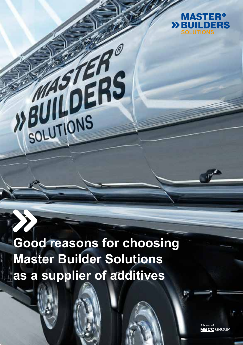

**Good reasons for choosing Master Builder Solutions as a supplier of additives**

**WASHERS** 

A brand of<br>**MBCC** GROUP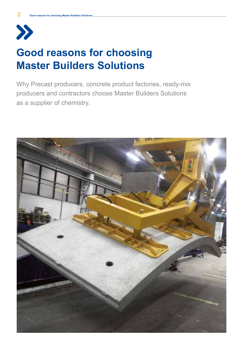

### **Good reasons for choosing Master Builders Solutions**

Why Precast producers, concrete product factories, ready-mix producers and contractors choose Master Builders Solutions as a supplier of chemistry.

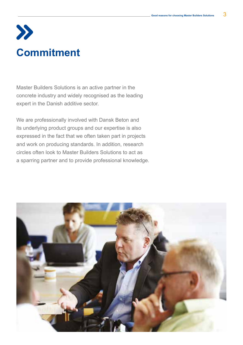## $\boldsymbol{\Sigma}$ **Commitment**

Master Builders Solutions is an active partner in the concrete industry and widely recognised as the leading expert in the Danish additive sector.

We are professionally involved with Dansk Beton and its underlying product groups and our expertise is also expressed in the fact that we often taken part in projects and work on producing standards. In addition, research circles often look to Master Builders Solutions to act as a sparring partner and to provide professional knowledge.

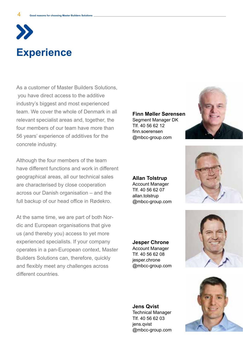

As a customer of Master Builders Solutions, you have direct access to the additive industry's biggest and most experienced team. We cover the whole of Denmark in all relevant specialist areas and, together, the four members of our team have more than 56 years' experience of additives for the concrete industry.

Although the four members of the team have different functions and work in different geographical areas, all our technical sales are characterised by close cooperation across our Danish organisation – and the full backup of our head office in Rødekro.

At the same time, we are part of both Nordic and European organisations that give us (and thereby you) access to yet more experienced specialists. If your company operates in a pan-European context, Master Builders Solutions can, therefore, quickly and flexibly meet any challenges across different countries.

**Finn Møller Sørensen** Segment Manager DK Tlf. 40 56 62 12 finn.soerensen @mbcc-group.com



**Allan Tolstrup** Account Manager Tlf. 40 56 62 07 allan.tolstrup @mbcc-group.com



**Jesper Chrone** Account Manager Tlf. 40 56 62 08 jesper.chrone @mbcc-group.com



**Jens Qvist** Technical Manager Tlf. 40 56 62 03 jens.qvist @mbcc-group.com

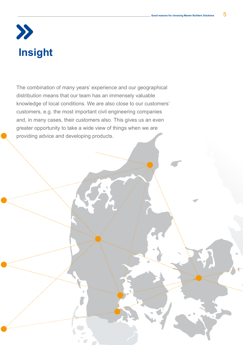# $\sum$ **Insight**

The combination of many years' experience and our geographical distribution means that our team has an immensely valuable knowledge of local conditions. We are also close to our customers' customers, e.g. the most important civil engineering companies and, in many cases, their customers also. This gives us an even greater opportunity to take a wide view of things when we are providing advice and developing products.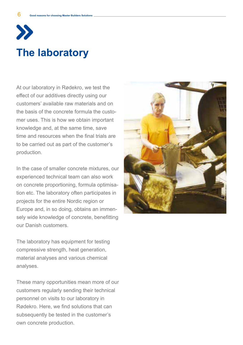## $\sum$ **The laboratory**

At our laboratory in Rødekro, we test the effect of our additives directly using our customers' available raw materials and on the basis of the concrete formula the customer uses. This is how we obtain important knowledge and, at the same time, save time and resources when the final trials are to be carried out as part of the customer's production.

In the case of smaller concrete mixtures, our experienced technical team can also work on concrete proportioning, formula optimisation etc. The laboratory often participates in projects for the entire Nordic region or Europe and, in so doing, obtains an immensely wide knowledge of concrete, benefitting our Danish customers.

The laboratory has equipment for testing compressive strength, heat generation, material analyses and various chemical analyses.

These many opportunities mean more of our customers regularly sending their technical personnel on visits to our laboratory in Rødekro. Here, we find solutions that can subsequently be tested in the customer's own concrete production.

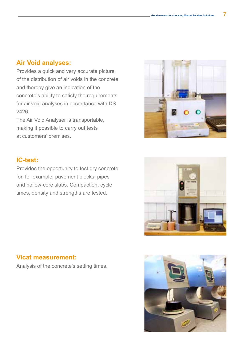### **Air Void analyses:**

Provides a quick and very accurate picture of the distribution of air voids in the concrete and thereby give an indication of the concrete's ability to satisfy the requirements for air void analyses in accordance with DS 2426.

The Air Void Analyser is transportable, making it possible to carry out tests at customers' premises.

### **IC-test:**

Provides the opportunity to test dry concrete for, for example, pavement blocks, pipes and hollow-core slabs. Compaction, cycle times, density and strengths are tested.



### **Vicat measurement:**

Analysis of the concrete's setting times.

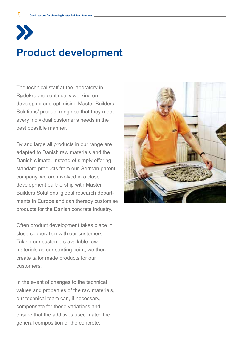

### **Product development**

The technical staff at the laboratory in Rødekro are continually working on developing and optimising Master Builders Solutions' product range so that they meet every individual customer's needs in the best possible manner.

By and large all products in our range are adapted to Danish raw materials and the Danish climate. Instead of simply offering standard products from our German parent company, we are involved in a close development partnership with Master Builders Solutions' global research departments in Europe and can thereby customise products for the Danish concrete industry.

Often product development takes place in close cooperation with our customers. Taking our customers available raw materials as our starting point, we then create tailor made products for our customers.

In the event of changes to the technical values and properties of the raw materials, our technical team can, if necessary, compensate for these variations and ensure that the additives used match the general composition of the concrete.

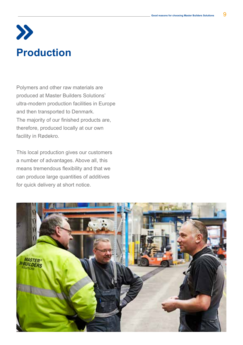## $\boldsymbol{\Sigma}$ **Production**

Polymers and other raw materials are produced at Master Builders Solutions' ultra-modern production facilities in Europe and then transported to Denmark. The majority of our finished products are, therefore, produced locally at our own facility in Rødekro.

This local production gives our customers a number of advantages. Above all, this means tremendous flexibility and that we can produce large quantities of additives for quick delivery at short notice.

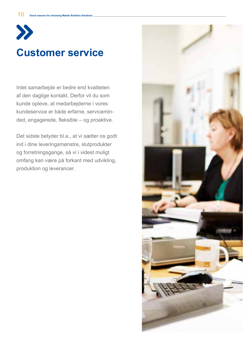$\boldsymbol{\Sigma}$ 

### **Customer service**

Intet samarbejde er bedre end kvaliteten af den daglige kontakt. Derfor vil du som kunde opleve, at medarbejderne i vores kundeservice er både erfarne, serviceminded, engagerede, fleksible – og proaktive.

Det sidste betyder bl.a., at vi sætter os godt ind i dine leveringsmønstre, slutprodukter og forretningsgange, så vi i videst muligt omfang kan være på forkant med udvikling, produktion og leverancer.

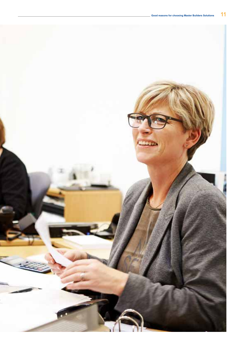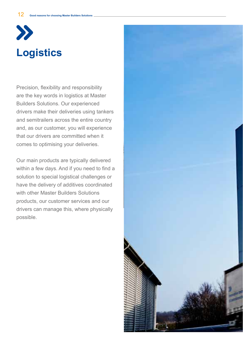# $\boldsymbol{\Sigma}$ **Logistics**

Precision, flexibility and responsibility are the key words in logistics at Master Builders Solutions. Our experienced drivers make their deliveries using tankers and semitrailers across the entire country and, as our customer, you will experience that our drivers are committed when it comes to optimising your deliveries.

Our main products are typically delivered within a few days. And if you need to find a solution to special logistical challenges or have the delivery of additives coordinated with other Master Builders Solutions products, our customer services and our drivers can manage this, where physically possible.

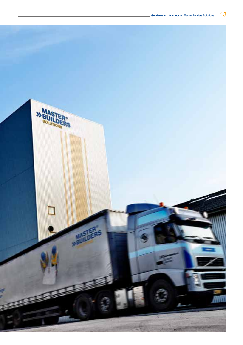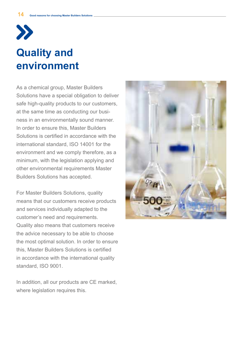

## **Quality and environment**

As a chemical group, Master Builders Solutions have a special obligation to deliver safe high-quality products to our customers, at the same time as conducting our business in an environmentally sound manner. In order to ensure this, Master Builders Solutions is certified in accordance with the international standard, ISO 14001 for the environment and we comply therefore, as a minimum, with the legislation applying and other environmental requirements Master Builders Solutions has accepted.

For Master Builders Solutions, quality means that our customers receive products and services individually adapted to the customer's need and requirements. Quality also means that customers receive the advice necessary to be able to choose the most optimal solution. In order to ensure this, Master Builders Solutions is certified in accordance with the international quality standard, ISO 9001.

In addition, all our products are CE marked, where legislation requires this.

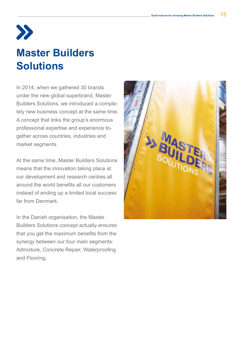# $\sum$

## **Master Builders Solutions**

In 2014, when we gathered 30 brands under the new global superbrand, Master Builders Solutions, we introduced a completely new business concept at the same time. A concept that links the group's enormous professional expertise and experience together across countries, industries and market segments.

At the same time, Master Builders Solutions means that the innovation taking place at our development and research centres all around the world benefits all our customers instead of ending up a limited local success far from Denmark.

In the Danish organisation, the Master Builders Solutions concept actually ensures that you get the maximum benefits from the synergy between our four main segments: Admixture, Concrete Repair, Waterproofing and Flooring.